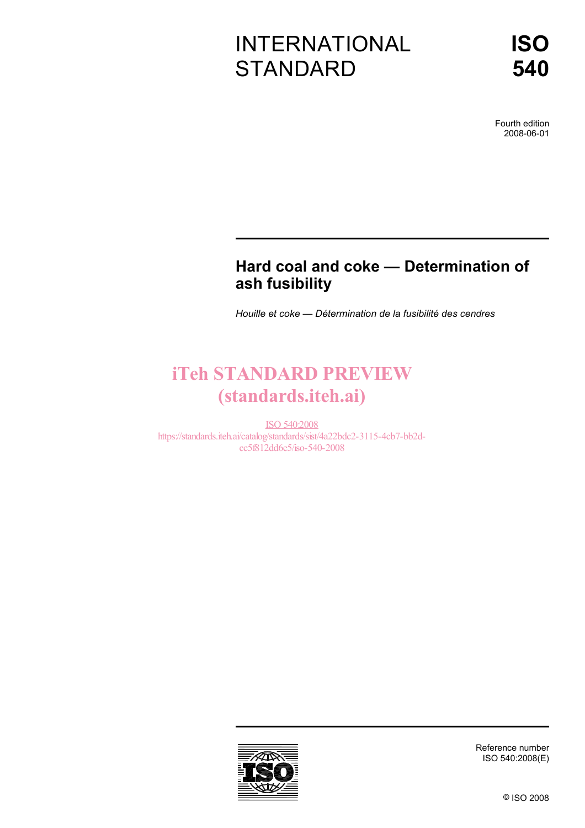# INTERNATIONAL **STANDARD**

Fourth edition 2008-06-01

## **Hard coal and coke — Determination of ash fusibility**

*Houille et coke — Détermination de la fusibilité des cendres* 

# iTeh STANDARD PREVIEW (standards.iteh.ai)

ISO 540:2008 https://standards.iteh.ai/catalog/standards/sist/4a22bdc2-3115-4cb7-bb2dcc5f812dd6e5/iso-540-2008



Reference number ISO 540:2008(E)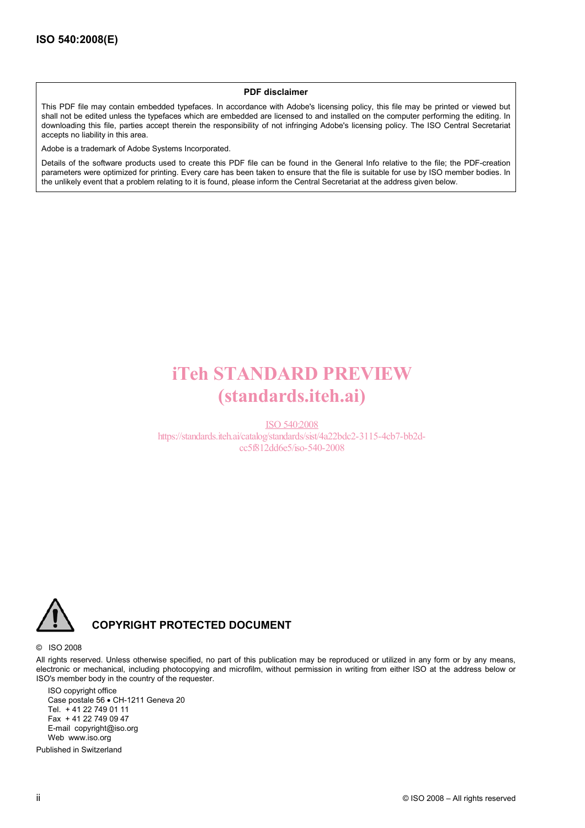#### **PDF disclaimer**

This PDF file may contain embedded typefaces. In accordance with Adobe's licensing policy, this file may be printed or viewed but shall not be edited unless the typefaces which are embedded are licensed to and installed on the computer performing the editing. In downloading this file, parties accept therein the responsibility of not infringing Adobe's licensing policy. The ISO Central Secretariat accepts no liability in this area.

Adobe is a trademark of Adobe Systems Incorporated.

Details of the software products used to create this PDF file can be found in the General Info relative to the file; the PDF-creation parameters were optimized for printing. Every care has been taken to ensure that the file is suitable for use by ISO member bodies. In the unlikely event that a problem relating to it is found, please inform the Central Secretariat at the address given below.

# iTeh STANDARD PREVIEW (standards.iteh.ai)

ISO 540:2008 https://standards.iteh.ai/catalog/standards/sist/4a22bdc2-3115-4cb7-bb2dcc5f812dd6e5/iso-540-2008



#### **COPYRIGHT PROTECTED DOCUMENT**

#### © ISO 2008

All rights reserved. Unless otherwise specified, no part of this publication may be reproduced or utilized in any form or by any means, electronic or mechanical, including photocopying and microfilm, without permission in writing from either ISO at the address below or ISO's member body in the country of the requester.

ISO copyright office Case postale 56 • CH-1211 Geneva 20 Tel. + 41 22 749 01 11 Fax + 41 22 749 09 47 E-mail copyright@iso.org Web www.iso.org

Published in Switzerland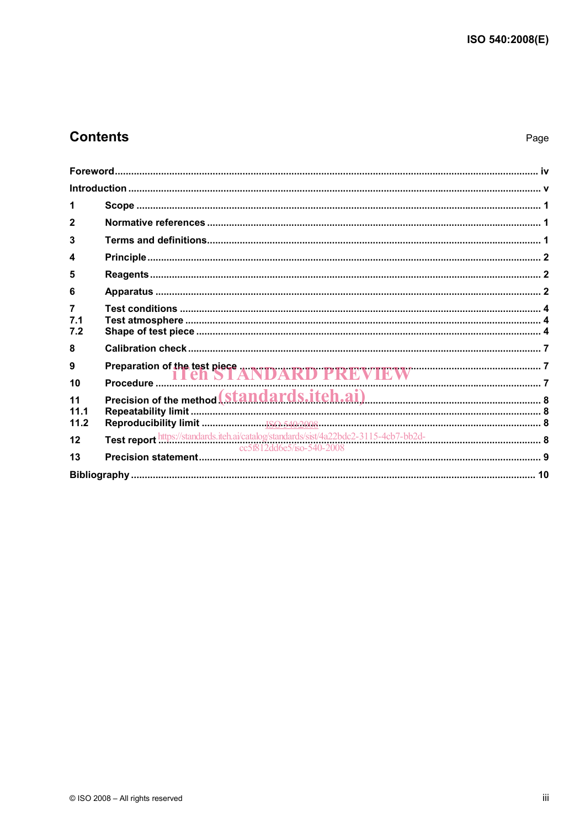## **Contents**

| 1                            |                                                                                                                         |  |
|------------------------------|-------------------------------------------------------------------------------------------------------------------------|--|
| $\overline{2}$               |                                                                                                                         |  |
| 3                            |                                                                                                                         |  |
| 4                            |                                                                                                                         |  |
| 5                            |                                                                                                                         |  |
| 6                            |                                                                                                                         |  |
| $\overline{7}$<br>7.1<br>7.2 |                                                                                                                         |  |
| 8                            |                                                                                                                         |  |
| 9<br>10                      |                                                                                                                         |  |
| 11<br>11.1<br>11.2           |                                                                                                                         |  |
| 12                           | Test report https://standards.iteh.ai/catalog/standards/sist/4a22bdc2-3115-4cb7-bb2d-<br>cc5f812dd6e5/iso-540-2008<br>9 |  |
| 13                           |                                                                                                                         |  |
|                              |                                                                                                                         |  |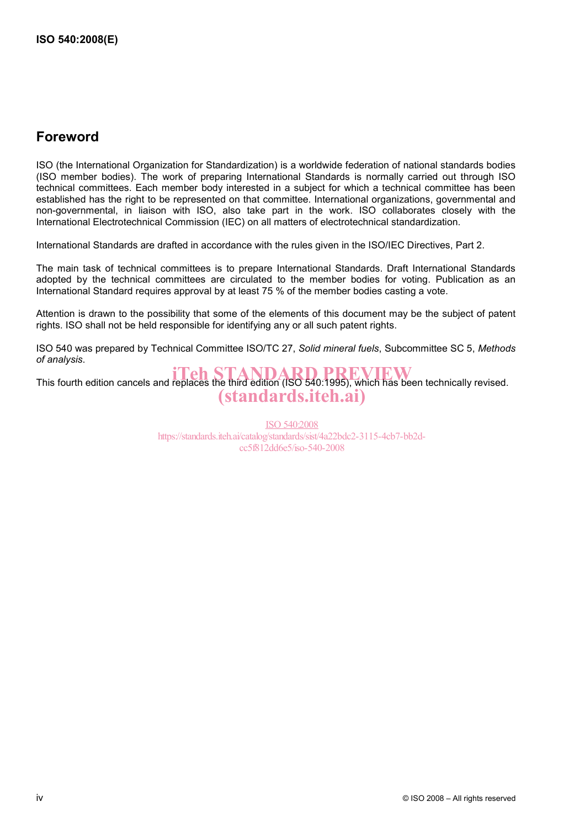### **Foreword**

ISO (the International Organization for Standardization) is a worldwide federation of national standards bodies (ISO member bodies). The work of preparing International Standards is normally carried out through ISO technical committees. Each member body interested in a subject for which a technical committee has been established has the right to be represented on that committee. International organizations, governmental and non-governmental, in liaison with ISO, also take part in the work. ISO collaborates closely with the International Electrotechnical Commission (IEC) on all matters of electrotechnical standardization.

International Standards are drafted in accordance with the rules given in the ISO/IEC Directives, Part 2.

The main task of technical committees is to prepare International Standards. Draft International Standards adopted by the technical committees are circulated to the member bodies for voting. Publication as an International Standard requires approval by at least 75 % of the member bodies casting a vote.

Attention is drawn to the possibility that some of the elements of this document may be the subject of patent rights. ISO shall not be held responsible for identifying any or all such patent rights.

ISO 540 was prepared by Technical Committee ISO/TC 27, *Solid mineral fuels*, Subcommittee SC 5, *Methods of analysis*.

This fourth edition cancels and replaces the third edition (ISO 540:1995), which has been technically revised. (standards.iteh.ai)

> ISO 540:2008 https://standards.iteh.ai/catalog/standards/sist/4a22bdc2-3115-4cb7-bb2dcc5f812dd6e5/iso-540-2008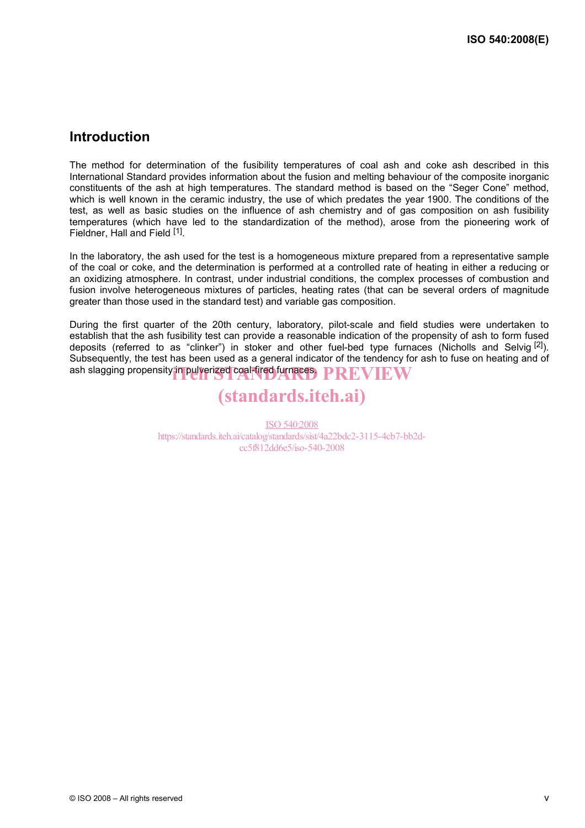### **Introduction**

The method for determination of the fusibility temperatures of coal ash and coke ash described in this International Standard provides information about the fusion and melting behaviour of the composite inorganic constituents of the ash at high temperatures. The standard method is based on the "Seger Cone" method, which is well known in the ceramic industry, the use of which predates the year 1900. The conditions of the test, as well as basic studies on the influence of ash chemistry and of gas composition on ash fusibility temperatures (which have led to the standardization of the method), arose from the pioneering work of Fieldner, Hall and Field [1].

In the laboratory, the ash used for the test is a homogeneous mixture prepared from a representative sample of the coal or coke, and the determination is performed at a controlled rate of heating in either a reducing or an oxidizing atmosphere. In contrast, under industrial conditions, the complex processes of combustion and fusion involve heterogeneous mixtures of particles, heating rates (that can be several orders of magnitude greater than those used in the standard test) and variable gas composition.

During the first quarter of the 20th century, laboratory, pilot-scale and field studies were undertaken to establish that the ash fusibility test can provide a reasonable indication of the propensity of ash to form fused deposits (referred to as "clinker") in stoker and other fuel-bed type furnaces (Nicholls and Selvig [2]). Subsequently, the test has been used as a general indicator of the tendency for ash to fuse on heating and of ash slagging propensity in pulverized coal-fired furnaces.  $\textcolor{red}{\textbf{PREV}}$   $\textcolor{red}{\textbf{FW}}$ 

# (standards.iteh.ai)

ISO 540:2008 https://standards.iteh.ai/catalog/standards/sist/4a22bdc2-3115-4cb7-bb2dcc5f812dd6e5/iso-540-2008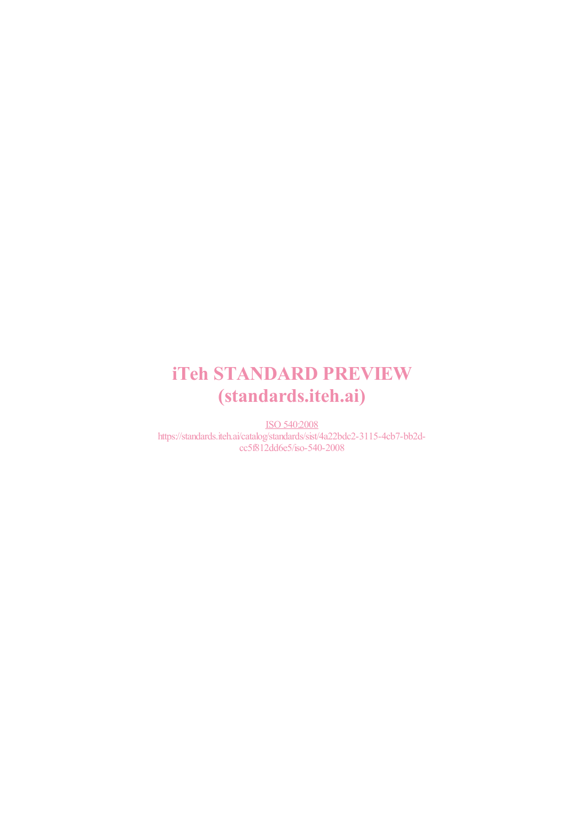# iTeh STANDARD PREVIEW (standards.iteh.ai)

ISO 540:2008 https://standards.iteh.ai/catalog/standards/sist/4a22bdc2-3115-4cb7-bb2dcc5f812dd6e5/iso-540-2008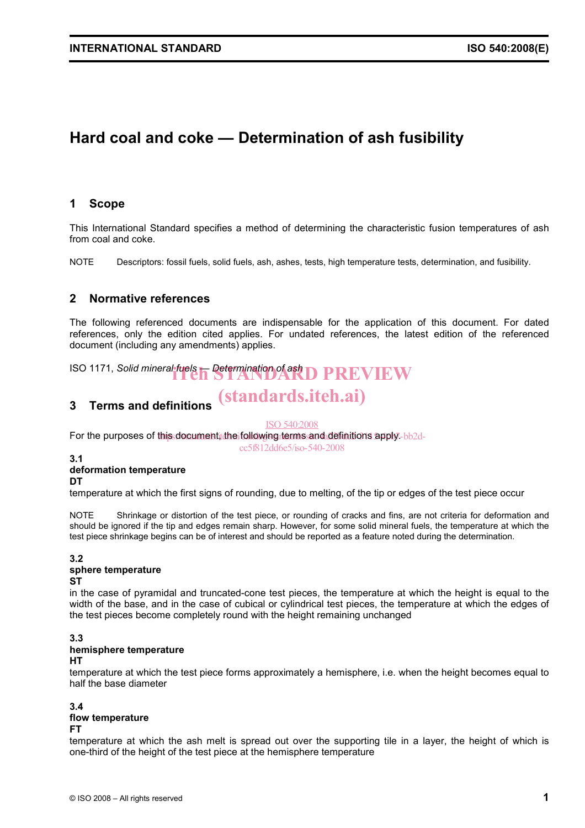## **Hard coal and coke — Determination of ash fusibility**

#### **1 Scope**

This International Standard specifies a method of determining the characteristic fusion temperatures of ash from coal and coke.

NOTE Descriptors: fossil fuels, solid fuels, ash, ashes, tests, high temperature tests, determination, and fusibility.

#### **2 Normative references**

The following referenced documents are indispensable for the application of this document. For dated references, only the edition cited applies. For undated references, the latest edition of the referenced document (including any amendments) applies.

**ISO 1171,** *Solid mineral fuels* **F** Determination of ash **D** PREVIEW

## (standards.iteh.ai)

### **3 Terms and definitions**

ISO 540:2008

For the purposes of this document, the following terms and definitions apply-bb2d-

cc5f812dd6e5/iso-540-2008

**3.1** 

#### **deformation temperature**

#### **DT**

temperature at which the first signs of rounding, due to melting, of the tip or edges of the test piece occur

NOTE Shrinkage or distortion of the test piece, or rounding of cracks and fins, are not criteria for deformation and should be ignored if the tip and edges remain sharp. However, for some solid mineral fuels, the temperature at which the test piece shrinkage begins can be of interest and should be reported as a feature noted during the determination.

#### **3.2**

#### **sphere temperature**

#### **ST**

in the case of pyramidal and truncated-cone test pieces, the temperature at which the height is equal to the width of the base, and in the case of cubical or cylindrical test pieces, the temperature at which the edges of the test pieces become completely round with the height remaining unchanged

#### **3.3**

#### **hemisphere temperature**

**HT** 

temperature at which the test piece forms approximately a hemisphere, i.e. when the height becomes equal to half the base diameter

#### **3.4 flow temperature**

#### **FT**

temperature at which the ash melt is spread out over the supporting tile in a layer, the height of which is one-third of the height of the test piece at the hemisphere temperature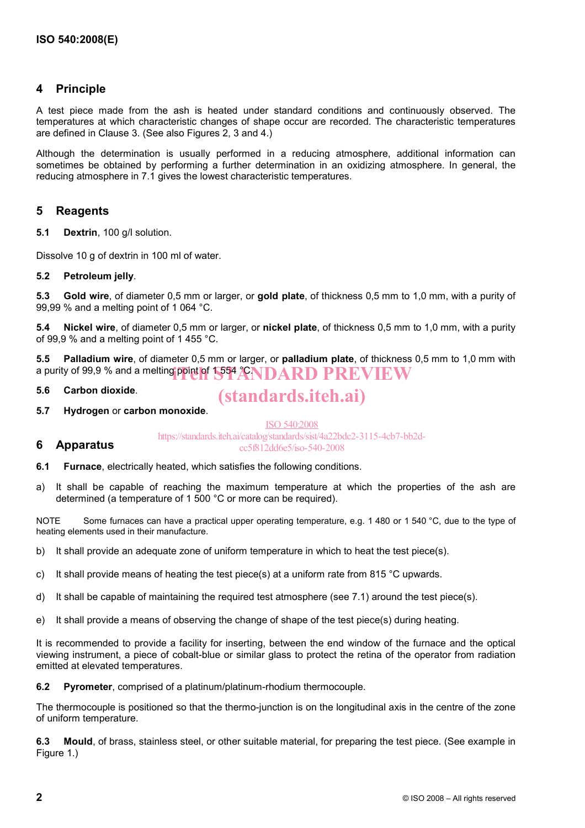#### **4 Principle**

A test piece made from the ash is heated under standard conditions and continuously observed. The temperatures at which characteristic changes of shape occur are recorded. The characteristic temperatures are defined in Clause 3. (See also Figures 2, 3 and 4.)

Although the determination is usually performed in a reducing atmosphere, additional information can sometimes be obtained by performing a further determination in an oxidizing atmosphere. In general, the reducing atmosphere in 7.1 gives the lowest characteristic temperatures.

#### **5 Reagents**

**5.1 Dextrin**, 100 g/l solution.

Dissolve 10 g of dextrin in 100 ml of water.

#### **5.2 Petroleum jelly**.

**5.3 Gold wire**, of diameter 0,5 mm or larger, or **gold plate**, of thickness 0,5 mm to 1,0 mm, with a purity of 99,99 % and a melting point of 1 064 °C.

**5.4 Nickel wire**, of diameter 0,5 mm or larger, or **nickel plate**, of thickness 0,5 mm to 1,0 mm, with a purity of 99,9 % and a melting point of 1 455 °C.

**5.5 Palladium wire**, of diameter 0,5 mm or larger, or **palladium plate**, of thickness 0,5 mm to 1,0 mm with a purity of 99,9 % and a melting point of  $1554$  ANDARD PREVIEW

**5.6 Carbon dioxide**.

**6 Apparatus** 

(standards.iteh.ai)

**5.7 Hydrogen** or **carbon monoxide**.

ISO 540:2008 https://standards.iteh.ai/catalog/standards/sist/4a22bdc2-3115-4cb7-bb2dcc5f812dd6e5/iso-540-2008

- **6.1 Furnace**, electrically heated, which satisfies the following conditions.
- a) It shall be capable of reaching the maximum temperature at which the properties of the ash are determined (a temperature of 1 500 °C or more can be required).

NOTE Some furnaces can have a practical upper operating temperature, e.g. 1 480 or 1 540 °C, due to the type of heating elements used in their manufacture.

- b) It shall provide an adequate zone of uniform temperature in which to heat the test piece(s).
- c) It shall provide means of heating the test piece(s) at a uniform rate from 815 °C upwards.
- d) It shall be capable of maintaining the required test atmosphere (see 7.1) around the test piece(s).
- e) It shall provide a means of observing the change of shape of the test piece(s) during heating.

It is recommended to provide a facility for inserting, between the end window of the furnace and the optical viewing instrument, a piece of cobalt-blue or similar glass to protect the retina of the operator from radiation emitted at elevated temperatures.

**6.2 Pyrometer**, comprised of a platinum/platinum-rhodium thermocouple.

The thermocouple is positioned so that the thermo-junction is on the longitudinal axis in the centre of the zone of uniform temperature.

**6.3 Mould**, of brass, stainless steel, or other suitable material, for preparing the test piece. (See example in Figure 1.)